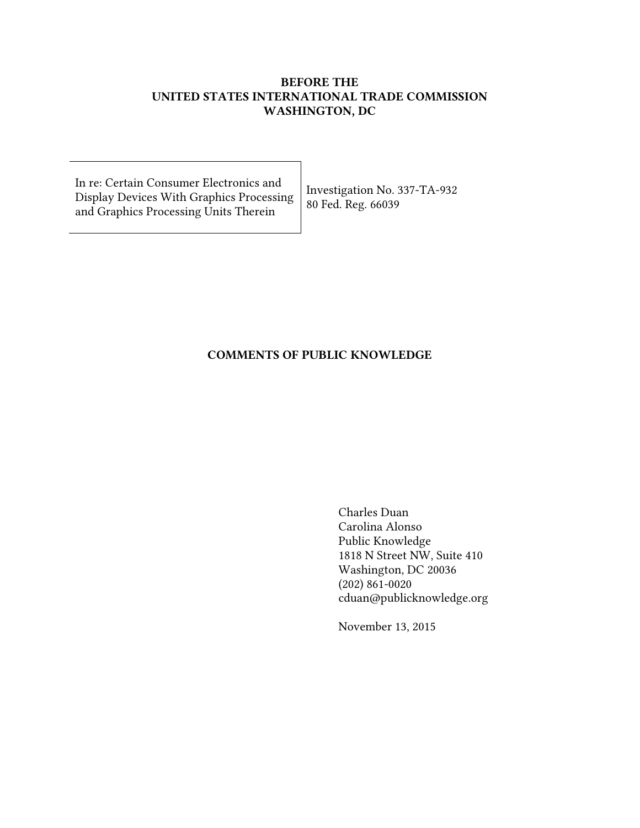# BEFORE THE UNITED STATES INTERNATIONAL TRADE COMMISSION WASHINGTON, DC

In re: Certain Consumer Electronics and Display Devices With Graphics Processing and Graphics Processing Units Therein

Investigation No. 337-TA-932 80 Fed. Reg. 66039

# COMMENTS OF PUBLIC KNOWLEDGE

Charles Duan Carolina Alonso Public Knowledge 1818 N Street NW, Suite 410 Washington, DC 20036 (202) 861-0020 cduan@publicknowledge.org

November 13, 2015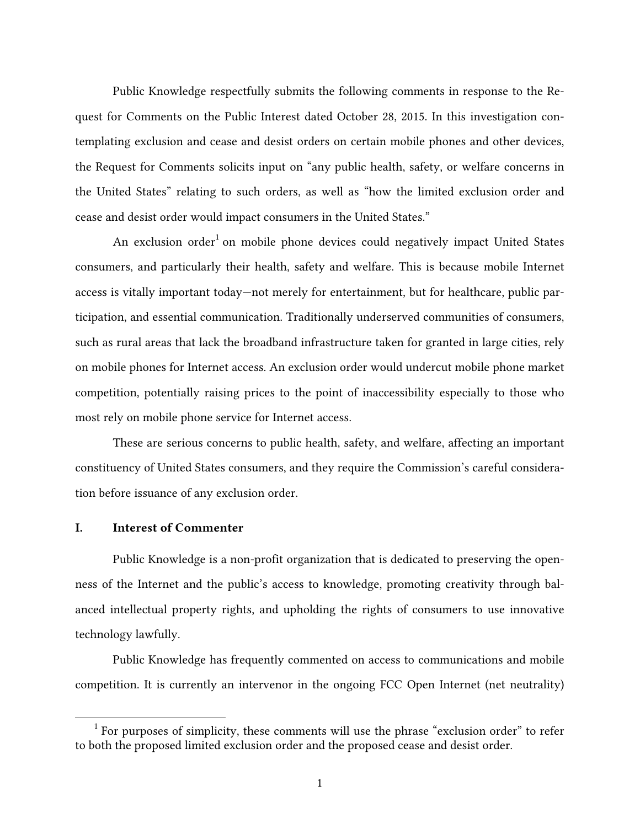Public Knowledge respectfully submits the following comments in response to the Request for Comments on the Public Interest dated October 28, 2015. In this investigation contemplating exclusion and cease and desist orders on certain mobile phones and other devices, the Request for Comments solicits input on "any public health, safety, or welfare concerns in the United States" relating to such orders, as well as "how the limited exclusion order and cease and desist order would impact consumers in the United States."

An exclusion order $^1$  on mobile phone devices could negatively impact United States consumers, and particularly their health, safety and welfare. This is because mobile Internet access is vitally important today—not merely for entertainment, but for healthcare, public participation, and essential communication. Traditionally underserved communities of consumers, such as rural areas that lack the broadband infrastructure taken for granted in large cities, rely on mobile phones for Internet access. An exclusion order would undercut mobile phone market competition, potentially raising prices to the point of inaccessibility especially to those who most rely on mobile phone service for Internet access.

These are serious concerns to public health, safety, and welfare, affecting an important constituency of United States consumers, and they require the Commission's careful consideration before issuance of any exclusion order.

#### I. Interest of Commenter

Public Knowledge is a non-profit organization that is dedicated to preserving the openness of the Internet and the public's access to knowledge, promoting creativity through balanced intellectual property rights, and upholding the rights of consumers to use innovative technology lawfully.

Public Knowledge has frequently commented on access to communications and mobile competition. It is currently an intervenor in the ongoing FCC Open Internet (net neutrality)

 $1$  For purposes of simplicity, these comments will use the phrase "exclusion order" to refer to both the proposed limited exclusion order and the proposed cease and desist order.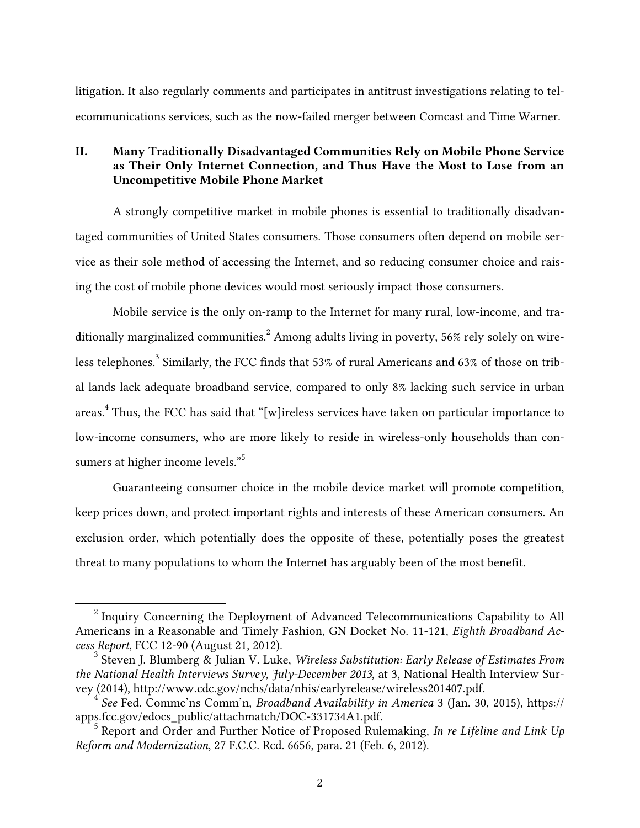litigation. It also regularly comments and participates in antitrust investigations relating to telecommunications services, such as the now-failed merger between Comcast and Time Warner.

## II. Many Traditionally Disadvantaged Communities Rely on Mobile Phone Service as Their Only Internet Connection, and Thus Have the Most to Lose from an Uncompetitive Mobile Phone Market

A strongly competitive market in mobile phones is essential to traditionally disadvantaged communities of United States consumers. Those consumers often depend on mobile service as their sole method of accessing the Internet, and so reducing consumer choice and raising the cost of mobile phone devices would most seriously impact those consumers.

Mobile service is the only on-ramp to the Internet for many rural, low-income, and traditionally marginalized communities.<sup>2</sup> Among adults living in poverty, 56% rely solely on wireless telephones. $^3$  Similarly, the FCC finds that 53% of rural Americans and 63% of those on tribal lands lack adequate broadband service, compared to only 8% lacking such service in urban areas.<sup>4</sup> Thus, the FCC has said that "[w]ireless services have taken on particular importance to low-income consumers, who are more likely to reside in wireless-only households than consumers at higher income levels."<sup>5</sup>

Guaranteeing consumer choice in the mobile device market will promote competition, keep prices down, and protect important rights and interests of these American consumers. An exclusion order, which potentially does the opposite of these, potentially poses the greatest threat to many populations to whom the Internet has arguably been of the most benefit.

 $2$  Inquiry Concerning the Deployment of Advanced Telecommunications Capability to All Americans in a Reasonable and Timely Fashion, GN Docket No. 11-121, *Eighth Broadband Access Report*, FCC 12-90 (August 21, 2012). <sup>3</sup> Steven J. Blumberg & Julian V. Luke, *Wireless Substitution: Early Release of Estimates From* 

*the National Health Interviews Survey, July-December 2013*, at 3, National Health Interview Survey (2014), http://www.cdc.gov/nchs/data/nhis/earlyrelease/wireless201407.pdf. <sup>4</sup> *See* Fed. Commc'ns Comm'n, *Broadband Availability in America* 3 (Jan. 30, 2015), https://

apps.fcc.gov/edocs\_public/attachmatch/DOC-331734A1.pdf. <sup>5</sup> Report and Order and Further Notice of Proposed Rulemaking, *In re Lifeline and Link Up* 

*Reform and Modernization*, 27 F.C.C. Rcd. 6656, para. 21 (Feb. 6, 2012).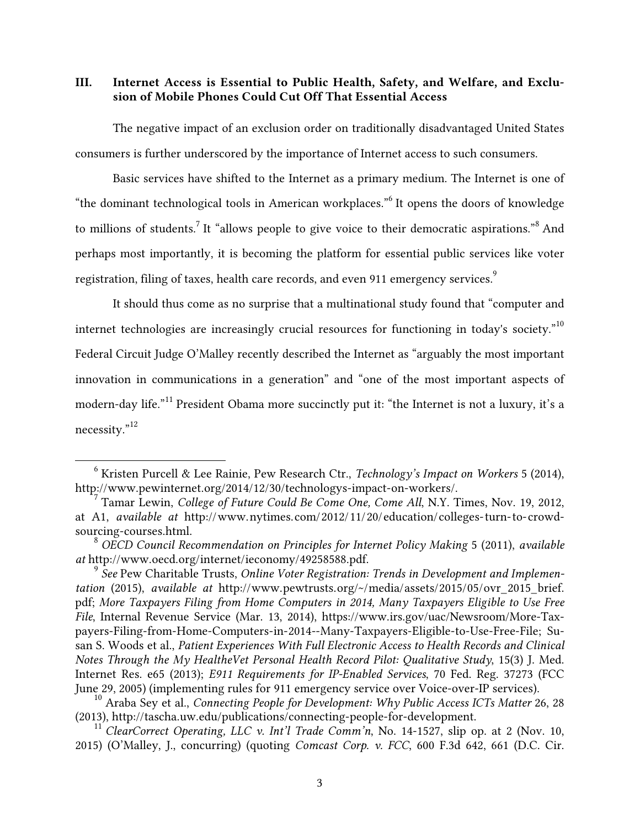III. Internet Access is Essential to Public Health, Safety, and Welfare, and Exclusion of Mobile Phones Could Cut Off That Essential Access

The negative impact of an exclusion order on traditionally disadvantaged United States consumers is further underscored by the importance of Internet access to such consumers.

Basic services have shifted to the Internet as a primary medium. The Internet is one of "the dominant technological tools in American workplaces."<sup>6</sup> It opens the doors of knowledge to millions of students.<sup>7</sup> It "allows people to give voice to their democratic aspirations."<sup>8</sup> And perhaps most importantly, it is becoming the platform for essential public services like voter registration, filing of taxes, health care records, and even 911 emergency services.<sup>9</sup>

It should thus come as no surprise that a multinational study found that "computer and internet technologies are increasingly crucial resources for functioning in today's society."<sup>10</sup> Federal Circuit Judge O'Malley recently described the Internet as "arguably the most important innovation in communications in a generation" and "one of the most important aspects of modern-day life."<sup>11</sup> President Obama more succinctly put it: "the Internet is not a luxury, it's a necessity."12

 <sup>6</sup> Kristen Purcell & Lee Rainie, Pew Research Ctr., *Technology's Impact on Workers* 5 (2014), http://www.pewinternet.org/2014/12/30/technologys-impact-on-workers/. <sup>7</sup> Tamar Lewin, *College of Future Could Be Come One, Come All*, N.Y. Times, Nov. 19, 2012,

at A1, *available at* http://www.nytimes.com/2012/11/20/education/colleges-turn-to-crowdsourcing-courses.html. <sup>8</sup> *OECD Council Recommendation on Principles for Internet Policy Making* 5 (2011), *available* 

*at* http://www.oecd.org/internet/ieconomy/49258588.pdf. <sup>9</sup> *See* Pew Charitable Trusts, *Online Voter Registration: Trends in Development and Implemen-*

*tation* (2015), *available at* http://www.pewtrusts.org/~/media/assets/2015/05/ovr\_2015\_brief. pdf; *More Taxpayers Filing from Home Computers in 2014, Many Taxpayers Eligible to Use Free File*, Internal Revenue Service (Mar. 13, 2014), https://www.irs.gov/uac/Newsroom/More-Taxpayers-Filing-from-Home-Computers-in-2014--Many-Taxpayers-Eligible-to-Use-Free-File; Susan S. Woods et al., *Patient Experiences With Full Electronic Access to Health Records and Clinical Notes Through the My HealtheVet Personal Health Record Pilot: Qualitative Study*, 15(3) J. Med. Internet Res. e65 (2013); *E911 Requirements for IP-Enabled Services*, 70 Fed. Reg. 37273 (FCC June 29, 2005) (implementing rules for 911 emergency service over Voice-over-IP services).

<sup>&</sup>lt;sup>10</sup> Araba Sey et al., *Connecting People for Development: Why Public Access ICTs Matter* 26, 28 (2013), http://tascha.uw.edu/publications/connecting-people-for-development. <sup>11</sup> *ClearCorrect Operating, LLC v. Int'l Trade Comm'n*, No. 14-1527, slip op. at 2 (Nov. 10,

<sup>2015) (</sup>O'Malley, J., concurring) (quoting *Comcast Corp. v. FCC*, 600 F.3d 642, 661 (D.C. Cir.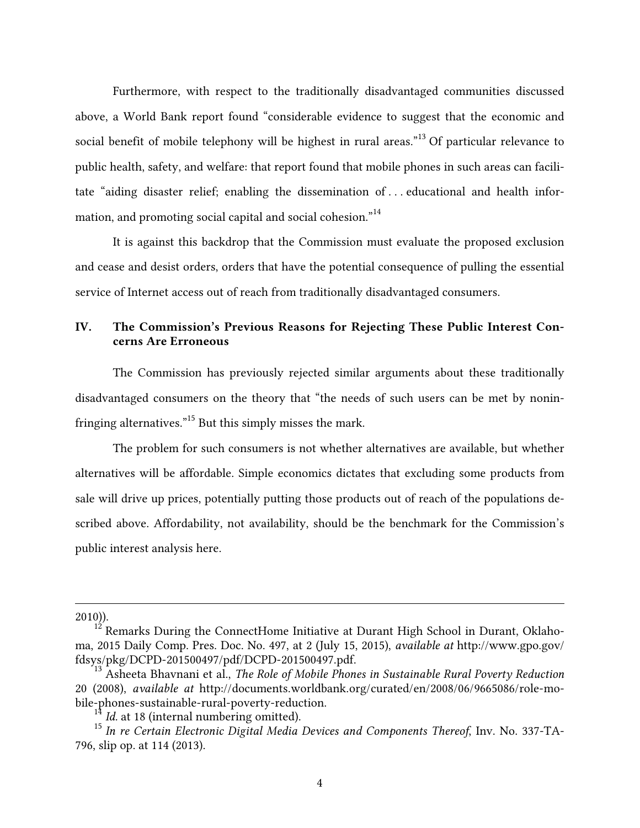Furthermore, with respect to the traditionally disadvantaged communities discussed above, a World Bank report found "considerable evidence to suggest that the economic and social benefit of mobile telephony will be highest in rural areas."<sup>13</sup> Of particular relevance to public health, safety, and welfare: that report found that mobile phones in such areas can facilitate "aiding disaster relief; enabling the dissemination of . . . educational and health information, and promoting social capital and social cohesion."<sup>14</sup>

It is against this backdrop that the Commission must evaluate the proposed exclusion and cease and desist orders, orders that have the potential consequence of pulling the essential service of Internet access out of reach from traditionally disadvantaged consumers.

# IV. The Commission's Previous Reasons for Rejecting These Public Interest Concerns Are Erroneous

The Commission has previously rejected similar arguments about these traditionally disadvantaged consumers on the theory that "the needs of such users can be met by noninfringing alternatives."15 But this simply misses the mark.

The problem for such consumers is not whether alternatives are available, but whether alternatives will be affordable. Simple economics dictates that excluding some products from sale will drive up prices, potentially putting those products out of reach of the populations described above. Affordability, not availability, should be the benchmark for the Commission's public interest analysis here.

2010)).

 $\overline{a}$ 

Remarks During the ConnectHome Initiative at Durant High School in Durant, Oklahoma, 2015 Daily Comp. Pres. Doc. No. 497, at 2 (July 15, 2015), *available at* http://www.gpo.gov/ fdsys/pkg/DCPD-201500497/pdf/DCPD-201500497.pdf. <sup>13</sup> Asheeta Bhavnani et al., *The Role of Mobile Phones in Sustainable Rural Poverty Reduction*

<sup>20 (2008),</sup> *available at* http://documents.worldbank.org/curated/en/2008/06/9665086/role-mobile-phones-sustainable-rural-poverty-reduction.<br><sup>14</sup> *Id.* at 18 (internal numbering omitted).<br><sup>15</sup> *In re Certain Electronic Digital Media Devices and Components Thereof*, Inv. No. 337-TA-

<sup>796,</sup> slip op. at 114 (2013).